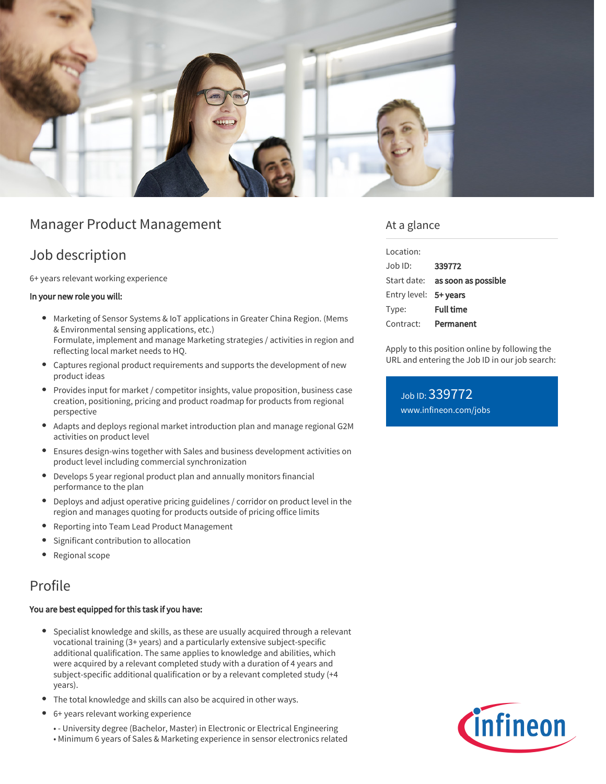

# Manager Product Management

# Job description

6+ years relevant working experience

#### In your new role you will:

- Marketing of Sensor Systems & IoT applications in Greater China Region. (Mems & Environmental sensing applications, etc.) Formulate, implement and manage Marketing strategies / activities in region and reflecting local market needs to HQ.
- Captures regional product requirements and supports the development of new product ideas
- Provides input for market / competitor insights, value proposition, business case creation, positioning, pricing and product roadmap for products from regional perspective
- Adapts and deploys regional market introduction plan and manage regional G2M activities on product level
- Ensures design-wins together with Sales and business development activities on product level including commercial synchronization
- Develops 5 year regional product plan and annually monitors financial performance to the plan
- Deploys and adjust operative pricing guidelines / corridor on product level in the region and manages quoting for products outside of pricing office limits
- Reporting into Team Lead Product Management
- Significant contribution to allocation  $\bullet$
- Regional scope

## Profile

#### You are best equipped for this task if you have:

- Specialist knowledge and skills, as these are usually acquired through a relevant vocational training (3+ years) and a particularly extensive subject-specific additional qualification. The same applies to knowledge and abilities, which were acquired by a relevant completed study with a duration of 4 years and subject-specific additional qualification or by a relevant completed study (+4 years).
- The total knowledge and skills can also be acquired in other ways.
- 6+ years relevant working experience
	- - University degree (Bachelor, Master) in Electronic or Electrical Engineering
	- Minimum 6 years of Sales & Marketing experience in sensor electronics related

### At a glance

| Location:             |                                        |
|-----------------------|----------------------------------------|
| Job ID:               | 339772                                 |
|                       | Start date: <b>as soon as possible</b> |
| Entry level: 5+ years |                                        |
| Type:                 | <b>Full time</b>                       |
| Contract:             | Permanent                              |

Apply to this position online by following the URL and entering the Job ID in our job search:

Job ID: 339772 [www.infineon.com/jobs](https://www.infineon.com/jobs)